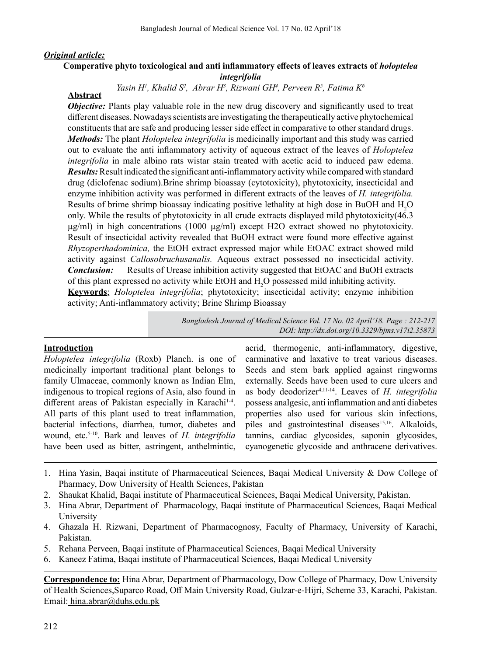## *Original article:*

## **Comperative phyto toxicological and anti inflammatory effects of leaves extracts of** *holoptelea integrifolia*

## Yasin H<sup>1</sup>, Khalid S<sup>2</sup>, Abrar H<sup>3</sup>, Rizwani GH<sup>4</sup>, Perveen R<sup>5</sup>, Fatima K<sup>6</sup>

# **Abstract**

*Objective:* Plants play valuable role in the new drug discovery and significantly used to treat different diseases. Nowadays scientists are investigating the therapeutically active phytochemical constituents that are safe and producing lesser side effect in comparative to other standard drugs. *Methods:* The plant *Holoptelea integrifolia* is medicinally important and this study was carried out to evaluate the anti inflammatory activity of aqueous extract of the leaves of *Holoptelea integrifolia* in male albino rats wistar stain treated with acetic acid to induced paw edema. *Results:* Result indicated the significant anti-inflammatory activity while compared with standard drug (diclofenac sodium).Brine shrimp bioassay (cytotoxicity), phytotoxicity, insecticidal and enzyme inhibition activity was performed in different extracts of the leaves of *H. integrifolia.*  Results of brime shrimp bioassay indicating positive lethality at high dose in BuOH and  $H_2O$ only. While the results of phytotoxicity in all crude extracts displayed mild phytotoxicity(46.3 µg/ml) in high concentrations (1000 µg/ml) except H2O extract showed no phytotoxicity. Result of insecticidal activity revealed that BuOH extract were found more effective against *Rhyzoperthadominica,* the EtOH extract expressed major while EtOAC extract showed mild activity against *Callosobruchusanalis.* Aqueous extract possessed no insecticidal activity. *Conclusion:* Results of Urease inhibition activity suggested that EtOAC and BuOH extracts of this plant expressed no activity while EtOH and  $H_2O$  possessed mild inhibiting activity. **Keywords**; *Holoptelea integrifolia*; phytotoxicity; insecticidal activity; enzyme inhibition activity; Anti-inflammatory activity; Brine Shrimp Bioassay

> *Bangladesh Journal of Medical Science Vol. 17 No. 02 April'18. Page : 212-217 DOI: http://dx.doi.org/10.3329/bjms.v17i2.35873*

### **Introduction**

*Holoptelea integrifolia* (Roxb) Planch. is one of medicinally important traditional plant belongs to family Ulmaceae, commonly known as Indian Elm, indigenous to tropical regions of Asia, also found in different areas of Pakistan especially in Karachi<sup>14</sup>. All parts of this plant used to treat inflammation, bacterial infections, diarrhea, tumor, diabetes and wound, etc.5-10. Bark and leaves of *H. integrifolia*  have been used as bitter, astringent, anthelmintic,

acrid, thermogenic, anti-inflammatory, digestive, carminative and laxative to treat various diseases. Seeds and stem bark applied against ringworms externally. Seeds have been used to cure ulcers and as body deodorizer4,11-14. Leaves of *H. integrifolia* possess analgesic, anti inflammation and anti diabetes properties also used for various skin infections, piles and gastrointestinal diseases<sup>15,16</sup>. Alkaloids, tannins, cardiac glycosides, saponin glycosides, cyanogenetic glycoside and anthracene derivatives.

- 1. Hina Yasin, Baqai institute of Pharmaceutical Sciences, Baqai Medical University & Dow College of Pharmacy, Dow University of Health Sciences, Pakistan
- 2. Shaukat Khalid, Baqai institute of Pharmaceutical Sciences, Baqai Medical University, Pakistan.
- 3. Hina Abrar, Department of Pharmacology, Baqai institute of Pharmaceutical Sciences, Baqai Medical University
- 4. Ghazala H. Rizwani, Department of Pharmacognosy, Faculty of Pharmacy, University of Karachi, Pakistan.
- 5. Rehana Perveen, Baqai institute of Pharmaceutical Sciences, Baqai Medical University
- 6. Kaneez Fatima, Baqai institute of Pharmaceutical Sciences, Baqai Medical University

**Correspondence to:** Hina Abrar, Department of Pharmacology, Dow College of Pharmacy, Dow University of Health Sciences,Suparco Road, Off Main University Road, Gulzar-e-Hijri, Scheme 33, Karachi, Pakistan. Email: hina.abrar@duhs.edu.pk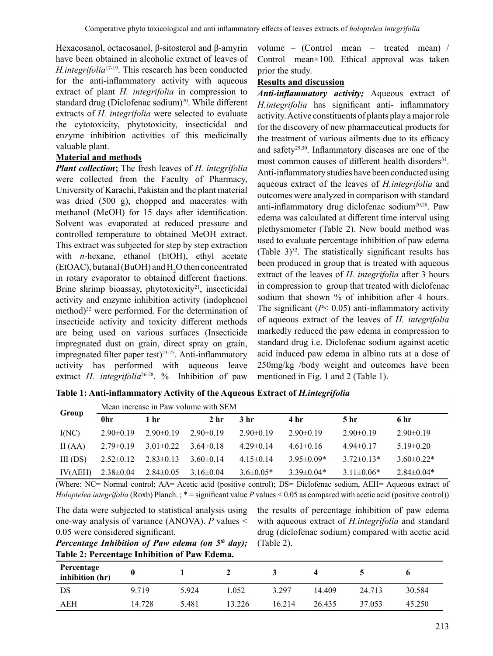Hexacosanol, octacosanol, β-sitosterol and β-amyrin have been obtained in alcoholic extract of leaves of *H.integrifolia*17-19. This research has been conducted for the anti-inflammatory activity with aqueous extract of plant *H. integrifolia* in compression to standard drug (Diclofenac sodium)<sup>20</sup>. While different extracts of *H. integrifolia* were selected to evaluate the cytotoxicity, phytotoxicity, insecticidal and enzyme inhibition activities of this medicinally valuable plant.

## **Material and methods**

*Plant collection***;** The fresh leaves of *H. integrifolia* were collected from the Faculty of Pharmacy, University of Karachi, Pakistan and the plant material was dried (500 g), chopped and macerates with methanol (MeOH) for 15 days after identification. Solvent was evaporated at reduced pressure and controlled temperature to obtained MeOH extract. This extract was subjected for step by step extraction with *n*-hexane, ethanol (EtOH), ethyl acetate (EtOAC), butanal (BuOH) and  $H_2O$  then concentrated in rotary evaporator to obtained different fractions. Brine shrimp bioassay, phytotoxicity<sup>21</sup>, insecticidal activity and enzyme inhibition activity (indophenol method) $^{22}$  were performed. For the determination of insecticide activity and toxicity different methods are being used on various surfaces (Insecticide impregnated dust on grain, direct spray on grain, impregnated filter paper test)<sup>23-25</sup>. Anti-inflammatory activity has performed with aqueous leave extract *H. integrifolia*<sup>26-28</sup>. % Inhibition of paw

volume =  $(Control$  mean – treated mean) / Control mean×100. Ethical approval was taken prior the study.

## **Results and discussion**

*Anti-inflammatory activity;* Aqueous extract of *H.integrifolia* has significant anti- inflammatory activity.Active constituents of plants play amajorrole for the discovery of new pharmaceutical products for the treatment of various ailments due to its efficacy and safety29,30. Inflammatory diseases are one of the most common causes of different health disorders $31$ . Anti-inflammatory studies have been conducted using aqueous extract of the leaves of *H.integrifolia* and outcomes were analyzed in comparison with standard anti-inflammatory drug diclofenac sodium20,28. Paw edema was calculated at different time interval using plethysmometer (Table 2). New bould method was used to evaluate percentage inhibition of paw edema (Table  $3^{32}$ . The statistically significant results has been produced in group that is treated with aqueous extract of the leaves of *H. integrifolia* after 3 hours in compression to group that treated with diclofenac sodium that shown % of inhibition after 4 hours. The significant  $(P< 0.05)$  anti-inflammatory activity of aqueous extract of the leaves of *H. integrifolia*  markedly reduced the paw edema in compression to standard drug i.e. Diclofenac sodium against acetic acid induced paw edema in albino rats at a dose of 250mg/kg /body weight and outcomes have been mentioned in Fig. 1 and 2 (Table 1).

**Table 1: Anti-inflammatory Activity of the Aqueous Extract of** *H.integrifolia*

|           |                 | Mean increase in Paw volume with SEM |                 |                 |                  |                |                   |  |  |  |  |
|-----------|-----------------|--------------------------------------|-----------------|-----------------|------------------|----------------|-------------------|--|--|--|--|
| Group     | 0hr             | 1 hr                                 | 2 <sub>hr</sub> | 3 hr            | 4 hr             | 5 hr           | 6 hr              |  |  |  |  |
| I(NC)     | $2.90\pm0.19$   | $2.90\pm0.19$                        | $2.90\pm0.19$   | $2.90\pm0.19$   | $2.90\pm0.19$    | $2.90\pm0.19$  | $2.90\pm0.19$     |  |  |  |  |
| II $(AA)$ | $2.79 \pm 0.19$ | $3.01 \pm 0.22$                      | $3.64\pm0.18$   | $4.29 \pm 0.14$ | $4.61 \pm 0.16$  | $4.94\pm0.17$  | $5.19 \pm 0.20$   |  |  |  |  |
| III(DS)   | $2.52 \pm 0.12$ | $2.83\pm0.13$                        | $3.60\pm0.14$   | $4.15 \pm 0.14$ | $3.95 \pm 0.09*$ | $3.72\pm0.13*$ | $3.60 \pm 0.22$ * |  |  |  |  |
| IV(AEH)   | $2.38 \pm 0.04$ | $2.84 \pm 0.05$                      | $3.16\pm0.04$   | $3.6 \pm 0.05*$ | $3.39\pm0.04*$   | $3.11\pm0.06*$ | $2.84 \pm 0.04*$  |  |  |  |  |

(Where: NC= Normal control; AA= Acetic acid (positive control); DS= Diclofenac sodium, AEH= Aqueous extract of *Holoptelea integrifolia* (Roxb) Planch. ; \* = significant value *P* values < 0.05 as compared with acetic acid (positive control))

The data were subjected to statistical analysis using one-way analysis of variance (ANOVA). *P* values < 0.05 were considered significant.

the results of percentage inhibition of paw edema with aqueous extract of *H.integrifolia* and standard drug (diclofenac sodium) compared with acetic acid (Table 2).

| Percentage Inhibition of Paw edema (on $5th$ day); |  |
|----------------------------------------------------|--|
| Table 2: Percentage Inhibition of Paw Edema.       |  |

| Percentage<br>inhibition (hr) |        |       |        |        |        |        |        |
|-------------------------------|--------|-------|--------|--------|--------|--------|--------|
| DS                            | 9.719  | 5.924 | L.052  | 3.297  | 14.409 | 24.713 | 30.584 |
| AEH                           | 14.728 | 5.481 | 13.226 | 16.214 | 26.435 | 37.053 | 45.250 |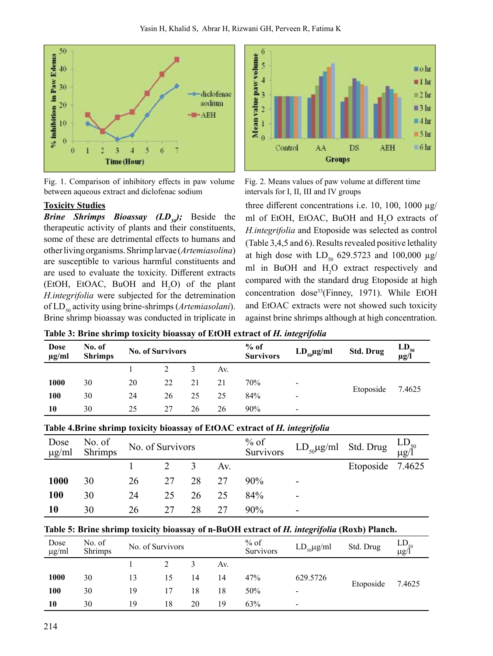

Fig. 1. Comparison of inhibitory effects in paw volume between aqueous extract and diclofenac sodium

## **Toxicity Studies**

*Brine Shrimps Bioassay (LD<sub>50</sub>)*; Beside the therapeutic activity of plants and their constituents, some of these are detrimental effects to humans and otherlivingorganisms.Shrimplarvae (*Artemiasolina*) are susceptible to various harmful constituents and are used to evaluate the toxicity. Different extracts (EtOH, EtOAC, BuOH and  $H_2O$ ) of the plant *H.integrifolia* were subjected for the detremination of LD<sub>50</sub> activity using brine-shrimps (Artemiasolani). Brine shrimp bioassay was conducted in triplicate in



Fig. 2. Means values of paw volume at different time intervals for I, II, III and IV groups

three different concentrations i.e. 10, 100, 1000  $\mu$ g/ ml of EtOH, EtOAC, BuOH and H<sub>2</sub>O extracts of *H.integrifolia* and Etoposide was selected as control (Table  $3,4,5$  and 6). Results revealed positive lethality at high dose with  $LD_{50}$  629.5723 and 100,000  $\mu$ g/ ml in BuOH and  $H_2O$  extract respectively and compared with the standard drug Etoposide at high concentration dose<sup>33</sup>(Finney, 1971). While EtOH and EtOAC extracts were not showed such toxicity against brine shrimps although at high concentration.

| Dose<br>$\mu$ g/ml | No. of<br><b>Shrimps</b> |    | <b>No. of Survivors</b> |    |     | $%$ of<br><b>Survivors</b> | $LD_{50}\mu g/ml$        | <b>Std. Drug</b> | $LD_{50}$ $\mu$ g/l |
|--------------------|--------------------------|----|-------------------------|----|-----|----------------------------|--------------------------|------------------|---------------------|
|                    |                          |    |                         |    | Av. |                            |                          |                  |                     |
| <b>1000</b>        | 30                       | 20 | 22                      | 21 | 21  | 70%                        | $\overline{\phantom{a}}$ |                  |                     |
| 100                | 30                       | 24 | 26                      | 25 | 25  | 84%                        | ۰                        | Etoposide        | 7.4625              |
| 10                 | 30                       | 25 | 27                      | 26 | 26  | 90%                        | $\overline{\phantom{0}}$ |                  |                     |

#### **Table 3: Brine shrimp toxicity bioassay of EtOH extract of** *H. integrifolia*

|                    |                   |    |                  |    |     | Those horme shring tomen, broussay or literate change of the macker of the |                                                              |                  |  |
|--------------------|-------------------|----|------------------|----|-----|----------------------------------------------------------------------------|--------------------------------------------------------------|------------------|--|
| Dose<br>$\mu$ g/ml | No. of<br>Shrimps |    | No. of Survivors |    |     | $%$ of<br>Survivors                                                        | $LD_{50}\mu\text{g/ml}$ Std. Drug $\text{LD}_{\text{g/l}^0}$ |                  |  |
|                    |                   |    |                  | 3  | Av. |                                                                            |                                                              | Etoposide 7.4625 |  |
| 1000               | 30                | 26 | 27               | 28 | 27  | $90\%$                                                                     |                                                              |                  |  |
| 100                | 30                | 24 | 25               | 26 | 25  | 84%                                                                        |                                                              |                  |  |
| 10                 | 30                | 26 | 27               | 28 | 27  | 90%                                                                        |                                                              |                  |  |

# **Table 4.Brine shrimp toxicity bioassay of EtOAC extract of** *H. integrifolia*

### **Table 5: Brine shrimp toxicity bioassay of n-BuOH extract of** *H. integrifolia* **(Roxb) Planch.**

| Dose<br>$\mu$ g/ml | No. of<br>Shrimps | No. of Survivors |    |    | $%$ of<br>Survivors | $LD_{50} \mu g/ml$ | Std. Drug                | $LD_{\mu g/\hat{l}}^{\text{o}}$ |        |
|--------------------|-------------------|------------------|----|----|---------------------|--------------------|--------------------------|---------------------------------|--------|
|                    |                   |                  |    |    | Av.                 |                    |                          |                                 |        |
| <b>1000</b>        | 30                | 13               | 15 | 14 | 14                  | 47%                | 629.5726                 | Etoposide                       |        |
| 100                | 30                | 19               | 17 | 18 | 18                  | 50%                | -                        |                                 | 7.4625 |
| 10                 | 30                | 19               | 18 | 20 | 19                  | 63%                | $\overline{\phantom{0}}$ |                                 |        |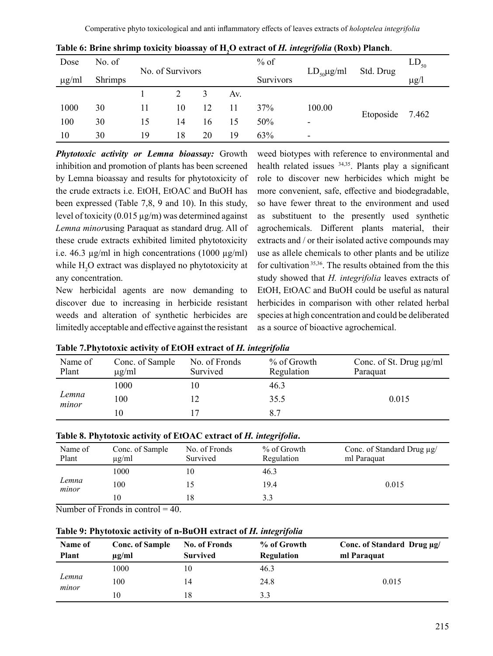| Dose       | No. of         |    |                  |    |     | $%$ of    |                         | Std. Drug | $LD_{50}$ |
|------------|----------------|----|------------------|----|-----|-----------|-------------------------|-----------|-----------|
| $\mu$ g/ml | <b>Shrimps</b> |    | No. of Survivors |    |     | Survivors | $LD_{50}\mu\text{g/ml}$ |           | $\mu$ g/l |
|            |                |    |                  | 3  | Av. |           |                         |           |           |
| 1000       | 30             | 11 | 10               | 12 | 11  | 37%       | 100.00                  |           |           |
| 100        | 30             | 15 | 14               | 16 | 15  | 50%       | ٠                       | Etoposide | 7.462     |
| 10         | 30             | 19 | 18               | 20 | 19  | 63%       | ٠                       |           |           |

|  |  |  |  |  |  |  | Table 6: Brine shrimp toxicity bioassay of H, O extract of H. integrifolia (Roxb) Planch. |
|--|--|--|--|--|--|--|-------------------------------------------------------------------------------------------|
|--|--|--|--|--|--|--|-------------------------------------------------------------------------------------------|

*Phytotoxic activity or Lemna bioassay:* Growth inhibition and promotion of plants has been screened by Lemna bioassay and results for phytotoxicity of the crude extracts i.e. EtOH, EtOAC and BuOH has been expressed (Table 7,8, 9 and 10). In this study, level of toxicity  $(0.015 \mu g/m)$  was determined against *Lemna minor*using Paraquat as standard drug. All of these crude extracts exhibited limited phytotoxicity i.e. 46.3  $\mu$ g/ml in high concentrations (1000  $\mu$ g/ml) while  $\rm H_2O$  extract was displayed no phytotoxicity at any concentration.

New herbicidal agents are now demanding to discover due to increasing in herbicide resistant weeds and alteration of synthetic herbicides are limitedly acceptable and effective against the resistant weed biotypes with reference to environmental and health related issues 34,35. Plants play a significant role to discover new herbicides which might be more convenient, safe, effective and biodegradable, so have fewer threat to the environment and used as substituent to the presently used synthetic agrochemicals. Different plants material, their extracts and / or their isolated active compounds may use as allele chemicals to other plants and be utilize for cultivation 35,36. The results obtained from the this study showed that *H. integrifolia* leaves extracts of EtOH, EtOAC and BuOH could be useful as natural herbicides in comparison with other related herbal species at high concentration and could be deliberated as a source of bioactive agrochemical.

| Name of<br>Plant | Conc. of Sample<br>$\mu$ g/ml | No. of Fronds<br>Survived | % of Growth<br>Regulation | Conc. of St. Drug µg/ml<br>Paraquat |
|------------------|-------------------------------|---------------------------|---------------------------|-------------------------------------|
|                  | 1000                          | 10                        | 46.3                      |                                     |
| Lemna<br>minor   | 100                           |                           | 35.5                      | 0.015                               |
|                  | 10                            |                           | 8.7                       |                                     |

| Table 7. Phytotoxic activity of EtOH extract of H. integrifolia |  |  |  |
|-----------------------------------------------------------------|--|--|--|
|                                                                 |  |  |  |

|  |  |  | Table 8. Phytotoxic activity of EtOAC extract of H. integrifolia. |
|--|--|--|-------------------------------------------------------------------|

| Name of<br>Plant | Conc. of Sample<br>$\mu$ g/ml | No. of Fronds<br>Survived | % of Growth<br>Regulation | Conc. of Standard Drug µg/<br>ml Paraquat |
|------------------|-------------------------------|---------------------------|---------------------------|-------------------------------------------|
|                  | 1000                          |                           | 46.3                      |                                           |
| Lemna<br>minor   | 100                           |                           | 19.4                      | 0.015                                     |
|                  | 10                            |                           | 3.3                       |                                           |

Number of Fronds in control  $= 40$ .

**Table 9: Phytotoxic activity of n-BuOH extract of** *H. integrifolia*

| Name of<br><b>Plant</b> | <b>Conc. of Sample</b><br>$\mu$ g/ml | <b>No. of Fronds</b><br><b>Survived</b> | % of Growth<br>Regulation | Conc. of Standard Drug µg/<br>ml Paraquat |  |
|-------------------------|--------------------------------------|-----------------------------------------|---------------------------|-------------------------------------------|--|
| Lemna<br>minor          | 1000                                 | 10                                      | 46.3                      |                                           |  |
|                         | 100                                  | 14                                      | 24.8                      | 0.015                                     |  |
|                         | 10                                   | 18                                      | 3.3                       |                                           |  |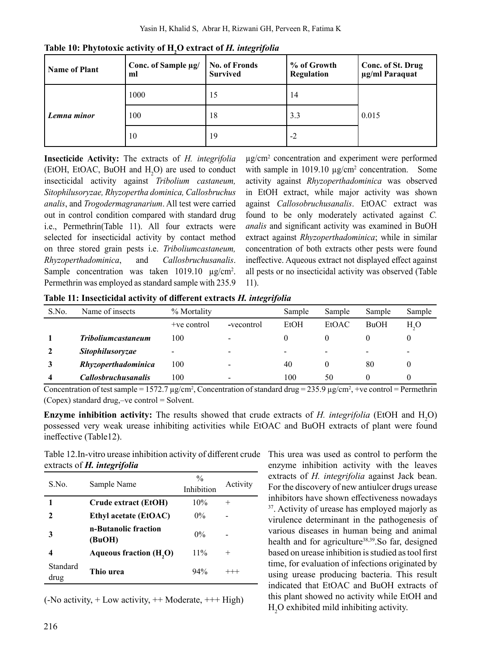| <b>Name of Plant</b> | Conc. of Sample µg/<br>ml | <b>No. of Fronds</b><br><b>Survived</b> | % of Growth<br>Regulation | Conc. of St. Drug<br>µg/ml Paraquat |  |
|----------------------|---------------------------|-----------------------------------------|---------------------------|-------------------------------------|--|
|                      | 1000                      | 15                                      | 14                        | 0.015                               |  |
| Lemna minor          | 100                       | 18                                      | 3.3                       |                                     |  |
|                      | 10                        | 19                                      | -2                        |                                     |  |

**Table 10: Phytotoxic activity of H<sup>2</sup> O extract of** *H. integrifolia*

**Insecticide Activity:** The extracts of *H. integrifolia*  (EtOH, EtOAC, BuOH and  $H_2O$ ) are used to conduct insecticidal activity against *Tribolium castaneum, Sitophilusoryzae, Rhyzopertha dominica, Callosbruchus analis*, and *Trogodermagranarium*. All test were carried out in control condition compared with standard drug i.e., Permethrin(Table 11). All four extracts were selected for insecticidal activity by contact method on three stored grain pests i.e. *Triboliumcastaneum, Rhyzoperthadominica*, and *Callosbruchusanalis*. Sample concentration was taken 1019.10  $\mu$ g/cm<sup>2</sup>. Permethrin was employed as standard sample with 235.9

µg/cm<sup>2</sup> concentration and experiment were performed with sample in  $1019.10 \mu g/cm^2$  concentration. Some activity against *Rhyzoperthadominica* was observed in EtOH extract, while major activity was shown against *Callosobruchusanalis*. EtOAC extract was found to be only moderately activated against *C. analis* and significant activity was examined in BuOH extract against *Rhyzoperthadominica*; while in similar concentration of both extracts other pests were found ineffective. Aqueous extract not displayed effect against all pests or no insecticidal activity was observed (Table 11).

**Table 11: Insecticidal activity of different extracts** *H. integrifolia* 

| S.No. | Name of insects            | % Mortality   |            | Sample | Sample | Sample      | Sample                   |
|-------|----------------------------|---------------|------------|--------|--------|-------------|--------------------------|
|       |                            | $+ve$ control | -vecontrol | EtOH   | EtOAC  | <b>BuOH</b> | H <sub>2</sub> O         |
|       | <b>Triboliumcastaneum</b>  | 100           | -          | 0      |        |             |                          |
|       | <i>Sitophilusoryzae</i>    | -             | ۰          |        | ۰      | -           | $\overline{\phantom{a}}$ |
|       | Rhyzoperthadominica        | 100           | -          | 40     |        | 80          | $\theta$                 |
|       | <i>Callosbruchusanalis</i> | 100           | ۰          | 100    | 50     |             | O                        |

Concentration of test sample = 1572.7  $\mu$ g/cm<sup>2</sup>, Concentration of standard drug = 235.9  $\mu$ g/cm<sup>2</sup>, +ve control = Permethrin (Copex) standard drug,–ve control = Solvent.

**Enzyme inhibition activity:** The results showed that crude extracts of *H. integrifolia* (EtOH and  $H_2O$ ) possessed very weak urease inhibiting activities while EtOAC and BuOH extracts of plant were found ineffective (Table12).

Table 12.In-vitro urease inhibition activity of different crude extracts of *H. integrifolia* 

| S.No.            | Sample Name                    | $\frac{0}{0}$<br>Inhibition | Activity |
|------------------|--------------------------------|-----------------------------|----------|
|                  | Crude extract (EtOH)           | 10%                         | $^{+}$   |
| 2                | <b>Ethyl acetate (EtOAC)</b>   | $0\%$                       |          |
| 3                | n-Butanolic fraction<br>(BuOH) | $0\%$                       |          |
| 4                | <b>Aqueous fraction (H,O)</b>  | $11\%$                      | $^+$     |
| Standard<br>drug | Thio urea                      | 94%                         | $^{+++}$ |

 $(-No activity, + Low activity, ++ Moderned$ 

This urea was used as control to perform the enzyme inhibition activity with the leaves extracts of *H. integrifolia* against Jack bean. For the discovery of new antiulcer drugs urease inhibitors have shown effectiveness nowadays <sup>37</sup>. Activity of urease has employed majorly as virulence determinant in the pathogenesis of various diseases in human being and animal health and for agriculture<sup>38,39</sup>.So far, designed based on urease inhibition is studied as tool first time, for evaluation of infections originated by using urease producing bacteria. This result indicated that EtOAC and BuOH extracts of this plant showed no activity while EtOH and  $H_2O$  exhibited mild inhibiting activity.